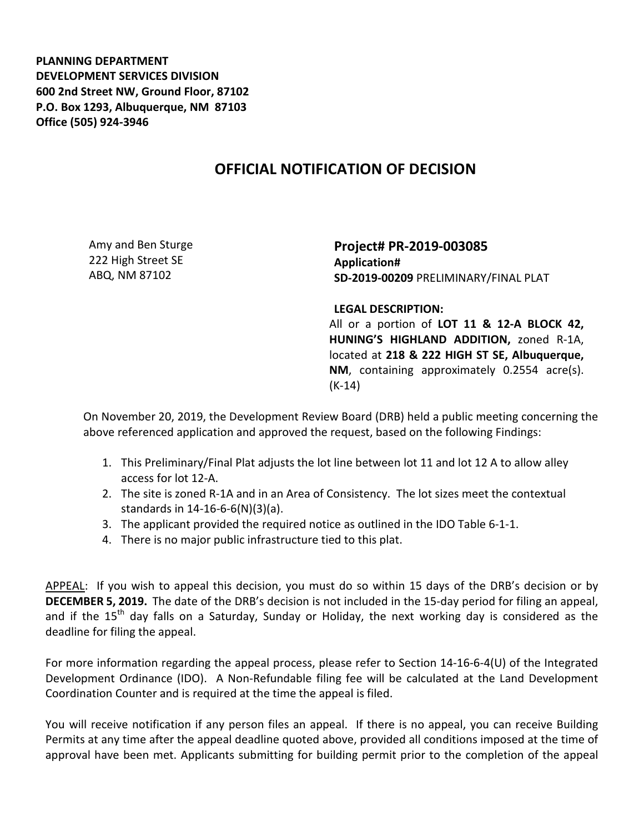**PLANNING DEPARTMENT DEVELOPMENT SERVICES DIVISION 600 2nd Street NW, Ground Floor, 87102 P.O. Box 1293, Albuquerque, NM 87103 Office (505) 924-3946** 

## **OFFICIAL NOTIFICATION OF DECISION**

Amy and Ben Sturge 222 High Street SE ABQ, NM 87102

**Project# PR-2019-003085 Application# SD-2019-00209** PRELIMINARY/FINAL PLAT

**LEGAL DESCRIPTION:**

All or a portion of **LOT 11 & 12-A BLOCK 42, HUNING'S HIGHLAND ADDITION,** zoned R-1A, located at **218 & 222 HIGH ST SE, Albuquerque, NM**, containing approximately 0.2554 acre(s). (K-14)

On November 20, 2019, the Development Review Board (DRB) held a public meeting concerning the above referenced application and approved the request, based on the following Findings:

- 1. This Preliminary/Final Plat adjusts the lot line between lot 11 and lot 12 A to allow alley access for lot 12-A.
- 2. The site is zoned R-1A and in an Area of Consistency. The lot sizes meet the contextual standards in 14-16-6-6(N)(3)(a).
- 3. The applicant provided the required notice as outlined in the IDO Table 6-1-1.
- 4. There is no major public infrastructure tied to this plat.

APPEAL: If you wish to appeal this decision, you must do so within 15 days of the DRB's decision or by **DECEMBER 5, 2019.** The date of the DRB's decision is not included in the 15-day period for filing an appeal, and if the 15<sup>th</sup> day falls on a Saturday, Sunday or Holiday, the next working day is considered as the deadline for filing the appeal.

For more information regarding the appeal process, please refer to Section 14-16-6-4(U) of the Integrated Development Ordinance (IDO). A Non-Refundable filing fee will be calculated at the Land Development Coordination Counter and is required at the time the appeal is filed.

You will receive notification if any person files an appeal. If there is no appeal, you can receive Building Permits at any time after the appeal deadline quoted above, provided all conditions imposed at the time of approval have been met. Applicants submitting for building permit prior to the completion of the appeal